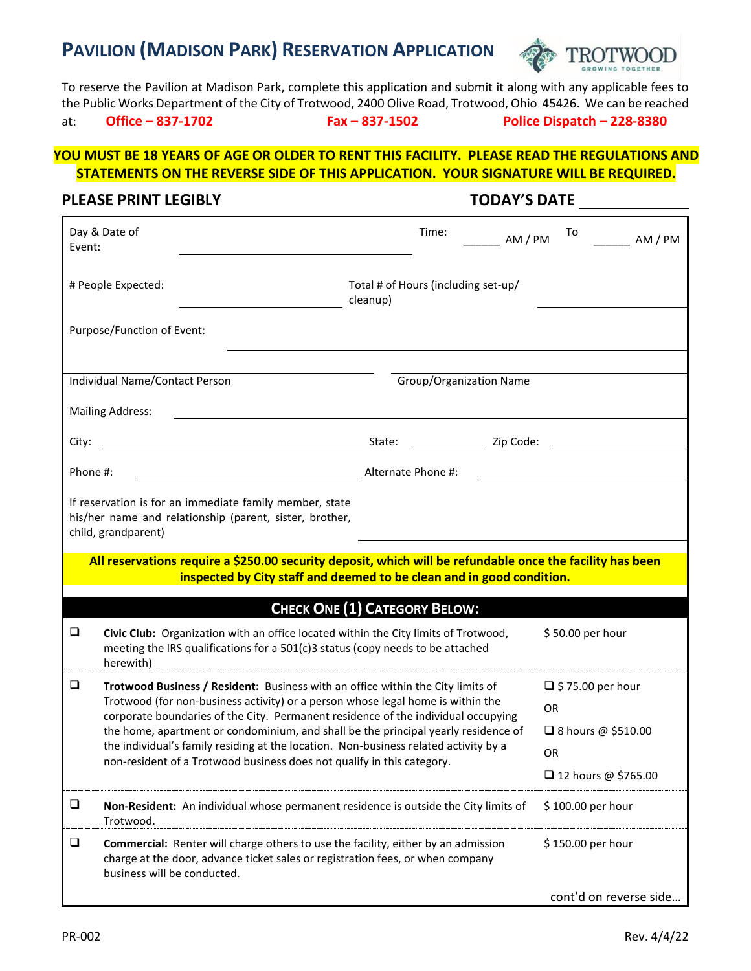# **PAVILION (MADISON PARK) RESERVATION APPLICATION**



To reserve the Pavilion at Madison Park, complete this application and submit it along with any applicable fees to the Public Works Department of the City of Trotwood, 2400 Olive Road, Trotwood, Ohio 45426. We can be reached

at: **Office – 837-1702 Fax – 837-1502 Police Dispatch – 228-8380**

## **YOU MUST BE 18 YEARS OF AGE OR OLDER TO RENT THIS FACILITY. PLEASE READ THE REGULATIONS AND STATEMENTS ON THE REVERSE SIDE OF THIS APPLICATION. YOUR SIGNATURE WILL BE REQUIRED.**

### **PLEASE PRINT LEGIBLY TODAY'S DATE**

| Day & Date of<br>Event:                                                                                                                                                                                             | Time:                                                                                                                                                                                                                                                                                                                                                                                                                                                                                                           | To<br>AM / PM<br>AM / PM            |  |  |  |  |  |  |  |
|---------------------------------------------------------------------------------------------------------------------------------------------------------------------------------------------------------------------|-----------------------------------------------------------------------------------------------------------------------------------------------------------------------------------------------------------------------------------------------------------------------------------------------------------------------------------------------------------------------------------------------------------------------------------------------------------------------------------------------------------------|-------------------------------------|--|--|--|--|--|--|--|
| # People Expected:                                                                                                                                                                                                  | cleanup)                                                                                                                                                                                                                                                                                                                                                                                                                                                                                                        | Total # of Hours (including set-up/ |  |  |  |  |  |  |  |
| Purpose/Function of Event:                                                                                                                                                                                          |                                                                                                                                                                                                                                                                                                                                                                                                                                                                                                                 |                                     |  |  |  |  |  |  |  |
| Individual Name/Contact Person                                                                                                                                                                                      | Group/Organization Name                                                                                                                                                                                                                                                                                                                                                                                                                                                                                         |                                     |  |  |  |  |  |  |  |
| <b>Mailing Address:</b>                                                                                                                                                                                             |                                                                                                                                                                                                                                                                                                                                                                                                                                                                                                                 |                                     |  |  |  |  |  |  |  |
| City:                                                                                                                                                                                                               | Zip Code:<br>State:                                                                                                                                                                                                                                                                                                                                                                                                                                                                                             |                                     |  |  |  |  |  |  |  |
| Phone #:                                                                                                                                                                                                            | Alternate Phone #:                                                                                                                                                                                                                                                                                                                                                                                                                                                                                              |                                     |  |  |  |  |  |  |  |
| If reservation is for an immediate family member, state<br>his/her name and relationship (parent, sister, brother,<br>child, grandparent)                                                                           |                                                                                                                                                                                                                                                                                                                                                                                                                                                                                                                 |                                     |  |  |  |  |  |  |  |
| All reservations require a \$250.00 security deposit, which will be refundable once the facility has been<br>inspected by City staff and deemed to be clean and in good condition.                                  |                                                                                                                                                                                                                                                                                                                                                                                                                                                                                                                 |                                     |  |  |  |  |  |  |  |
|                                                                                                                                                                                                                     | <b>CHECK ONE (1) CATEGORY BELOW:</b>                                                                                                                                                                                                                                                                                                                                                                                                                                                                            |                                     |  |  |  |  |  |  |  |
| $\Box$<br>herewith)                                                                                                                                                                                                 | Civic Club: Organization with an office located within the City limits of Trotwood,<br>meeting the IRS qualifications for a 501(c)3 status (copy needs to be attached                                                                                                                                                                                                                                                                                                                                           |                                     |  |  |  |  |  |  |  |
| $\Box$                                                                                                                                                                                                              | Trotwood Business / Resident: Business with an office within the City limits of<br>Trotwood (for non-business activity) or a person whose legal home is within the<br>corporate boundaries of the City. Permanent residence of the individual occupying<br>the home, apartment or condominium, and shall be the principal yearly residence of<br>the individual's family residing at the location. Non-business related activity by a<br>non-resident of a Trotwood business does not qualify in this category. |                                     |  |  |  |  |  |  |  |
| $\Box$<br>Non-Resident: An individual whose permanent residence is outside the City limits of<br>Trotwood.                                                                                                          |                                                                                                                                                                                                                                                                                                                                                                                                                                                                                                                 | \$100.00 per hour                   |  |  |  |  |  |  |  |
| $\Box$<br><b>Commercial:</b> Renter will charge others to use the facility, either by an admission<br>charge at the door, advance ticket sales or registration fees, or when company<br>business will be conducted. |                                                                                                                                                                                                                                                                                                                                                                                                                                                                                                                 | \$150.00 per hour                   |  |  |  |  |  |  |  |
|                                                                                                                                                                                                                     |                                                                                                                                                                                                                                                                                                                                                                                                                                                                                                                 | cont'd on reverse side              |  |  |  |  |  |  |  |